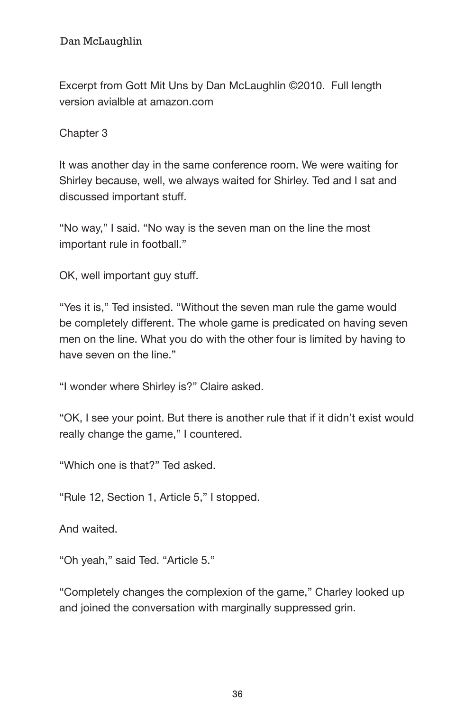## Dan McLaughlin Gott Mit Unstand Mit Unstand Mit Unstand Mit Unstand Mit Unstand Mit Unstand Mit Unstand Mit Un

Excerpt from Gott Mit Uns by Dan McLaughlin ©2010. Full length version avialble at amazon.com

Chapter 3

It was another day in the same conference room. We were waiting for Shirley because, well, we always waited for Shirley. Ted and I sat and discussed important stuff.

"No way," I said. "No way is the seven man on the line the most important rule in football."

OK, well important guy stuff.

"Yes it is," Ted insisted. "Without the seven man rule the game would be completely different. The whole game is predicated on having seven men on the line. What you do with the other four is limited by having to have seven on the line."

"I wonder where Shirley is?" Claire asked.

"OK, I see your point. But there is another rule that if it didn't exist would really change the game," I countered.

"Which one is that?" Ted asked.

"Rule 12, Section 1, Article 5," I stopped.

And waited.

"Oh yeah," said Ted. "Article 5."

"Completely changes the complexion of the game," Charley looked up and joined the conversation with marginally suppressed grin.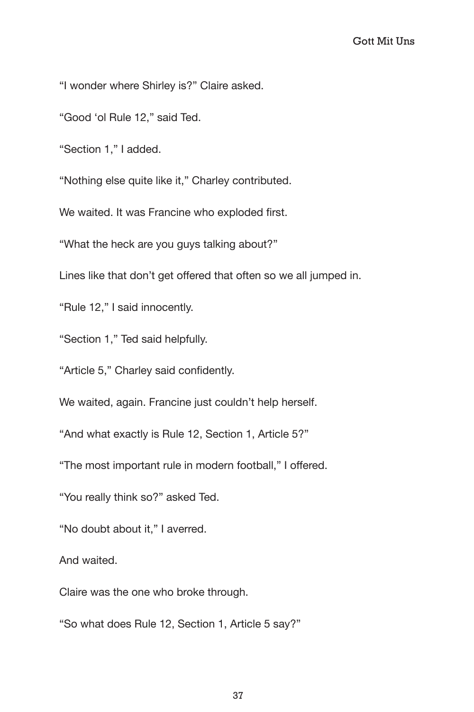"I wonder where Shirley is?" Claire asked.

"Good 'ol Rule 12," said Ted.

"Section 1," I added.

"Nothing else quite like it," Charley contributed.

We waited. It was Francine who exploded first.

"What the heck are you guys talking about?"

Lines like that don't get offered that often so we all jumped in.

"Rule 12," I said innocently.

"Section 1," Ted said helpfully.

"Article 5," Charley said confidently.

We waited, again. Francine just couldn't help herself.

"And what exactly is Rule 12, Section 1, Article 5?"

"The most important rule in modern football," I offered.

"You really think so?" asked Ted.

"No doubt about it," I averred.

And waited.

Claire was the one who broke through.

"So what does Rule 12, Section 1, Article 5 say?"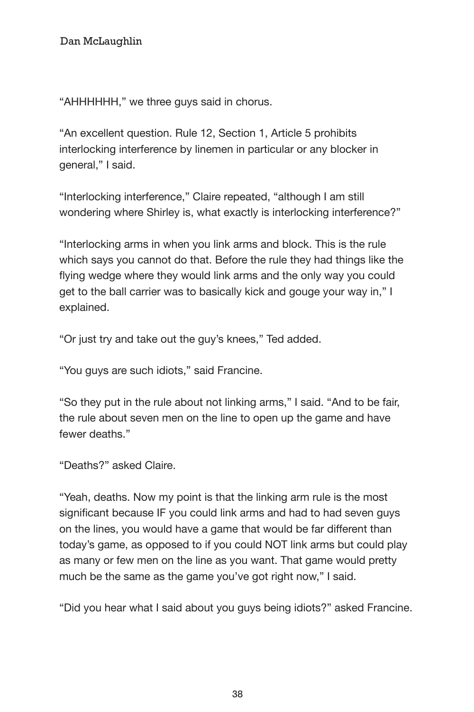"AHHHHHH," we three guys said in chorus.

"An excellent question. Rule 12, Section 1, Article 5 prohibits interlocking interference by linemen in particular or any blocker in general," I said.

"Interlocking interference," Claire repeated, "although I am still wondering where Shirley is, what exactly is interlocking interference?"

"Interlocking arms in when you link arms and block. This is the rule which says you cannot do that. Before the rule they had things like the flying wedge where they would link arms and the only way you could get to the ball carrier was to basically kick and gouge your way in," I explained.

"Or just try and take out the guy's knees," Ted added.

"You guys are such idiots," said Francine.

"So they put in the rule about not linking arms," I said. "And to be fair, the rule about seven men on the line to open up the game and have fewer deaths."

"Deaths?" asked Claire.

"Yeah, deaths. Now my point is that the linking arm rule is the most significant because IF you could link arms and had to had seven guys on the lines, you would have a game that would be far different than today's game, as opposed to if you could NOT link arms but could play as many or few men on the line as you want. That game would pretty much be the same as the game you've got right now," I said.

"Did you hear what I said about you guys being idiots?" asked Francine.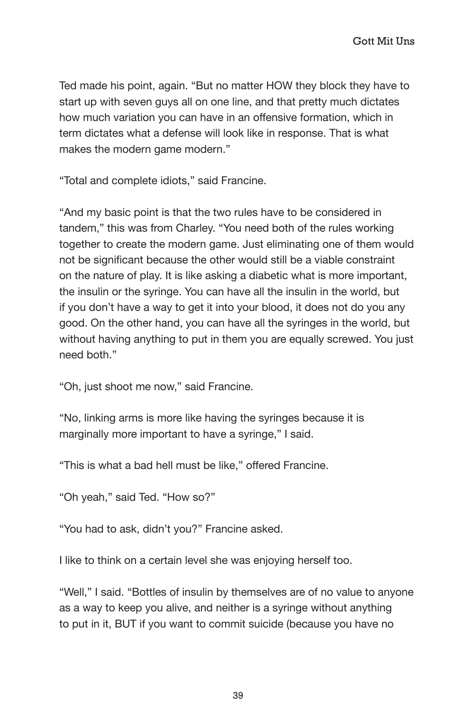Ted made his point, again. "But no matter HOW they block they have to start up with seven guys all on one line, and that pretty much dictates how much variation you can have in an offensive formation, which in term dictates what a defense will look like in response. That is what makes the modern game modern."

"Total and complete idiots," said Francine.

"And my basic point is that the two rules have to be considered in tandem," this was from Charley. "You need both of the rules working together to create the modern game. Just eliminating one of them would not be significant because the other would still be a viable constraint on the nature of play. It is like asking a diabetic what is more important, the insulin or the syringe. You can have all the insulin in the world, but if you don't have a way to get it into your blood, it does not do you any good. On the other hand, you can have all the syringes in the world, but without having anything to put in them you are equally screwed. You just need both."

"Oh, just shoot me now," said Francine.

"No, linking arms is more like having the syringes because it is marginally more important to have a syringe," I said.

"This is what a bad hell must be like," offered Francine.

"Oh yeah," said Ted. "How so?"

"You had to ask, didn't you?" Francine asked.

I like to think on a certain level she was enjoying herself too.

"Well," I said. "Bottles of insulin by themselves are of no value to anyone as a way to keep you alive, and neither is a syringe without anything to put in it, BUT if you want to commit suicide (because you have no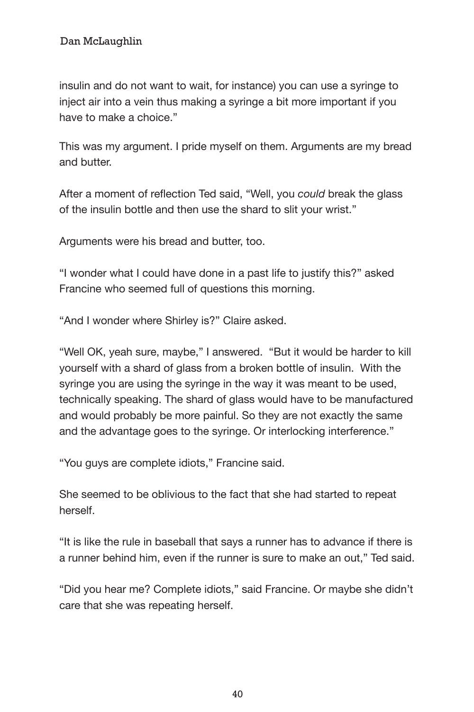insulin and do not want to wait, for instance) you can use a syringe to inject air into a vein thus making a syringe a bit more important if you have to make a choice."

This was my argument. I pride myself on them. Arguments are my bread and butter.

After a moment of reflection Ted said, "Well, you *could* break the glass of the insulin bottle and then use the shard to slit your wrist."

Arguments were his bread and butter, too.

"I wonder what I could have done in a past life to justify this?" asked Francine who seemed full of questions this morning.

"And I wonder where Shirley is?" Claire asked.

"Well OK, yeah sure, maybe," I answered. "But it would be harder to kill yourself with a shard of glass from a broken bottle of insulin. With the syringe you are using the syringe in the way it was meant to be used, technically speaking. The shard of glass would have to be manufactured and would probably be more painful. So they are not exactly the same and the advantage goes to the syringe. Or interlocking interference."

"You guys are complete idiots," Francine said.

She seemed to be oblivious to the fact that she had started to repeat herself.

"It is like the rule in baseball that says a runner has to advance if there is a runner behind him, even if the runner is sure to make an out," Ted said.

"Did you hear me? Complete idiots," said Francine. Or maybe she didn't care that she was repeating herself.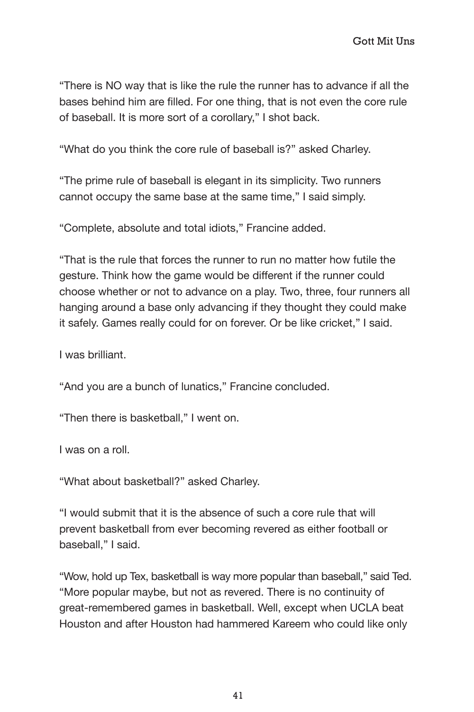"There is NO way that is like the rule the runner has to advance if all the bases behind him are filled. For one thing, that is not even the core rule of baseball. It is more sort of a corollary," I shot back.

"What do you think the core rule of baseball is?" asked Charley.

"The prime rule of baseball is elegant in its simplicity. Two runners cannot occupy the same base at the same time," I said simply.

"Complete, absolute and total idiots," Francine added.

"That is the rule that forces the runner to run no matter how futile the gesture. Think how the game would be different if the runner could choose whether or not to advance on a play. Two, three, four runners all hanging around a base only advancing if they thought they could make it safely. Games really could for on forever. Or be like cricket," I said.

I was brilliant.

"And you are a bunch of lunatics," Francine concluded.

"Then there is basketball," I went on.

I was on a roll.

"What about basketball?" asked Charley.

"I would submit that it is the absence of such a core rule that will prevent basketball from ever becoming revered as either football or baseball," I said.

"Wow, hold up Tex, basketball is way more popular than baseball," said Ted. "More popular maybe, but not as revered. There is no continuity of great-remembered games in basketball. Well, except when UCLA beat Houston and after Houston had hammered Kareem who could like only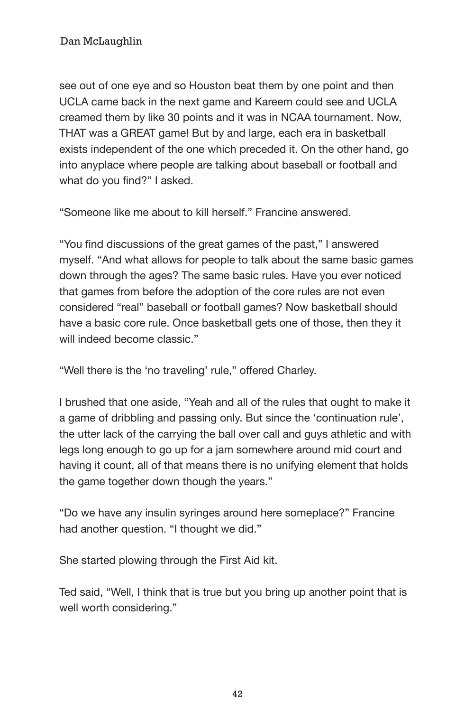see out of one eye and so Houston beat them by one point and then UCLA came back in the next game and Kareem could see and UCLA creamed them by like 30 points and it was in NCAA tournament. Now, THAT was a GREAT game! But by and large, each era in basketball exists independent of the one which preceded it. On the other hand, go into anyplace where people are talking about baseball or football and what do you find?" I asked.

"Someone like me about to kill herself." Francine answered.

"You find discussions of the great games of the past," I answered myself. "And what allows for people to talk about the same basic games down through the ages? The same basic rules. Have you ever noticed that games from before the adoption of the core rules are not even considered "real" baseball or football games? Now basketball should have a basic core rule. Once basketball gets one of those, then they it will indeed become classic."

"Well there is the 'no traveling' rule," offered Charley.

I brushed that one aside, "Yeah and all of the rules that ought to make it a game of dribbling and passing only. But since the 'continuation rule', the utter lack of the carrying the ball over call and guys athletic and with legs long enough to go up for a jam somewhere around mid court and having it count, all of that means there is no unifying element that holds the game together down though the years."

"Do we have any insulin syringes around here someplace?" Francine had another question. "I thought we did."

She started plowing through the First Aid kit.

Ted said, "Well, I think that is true but you bring up another point that is well worth considering."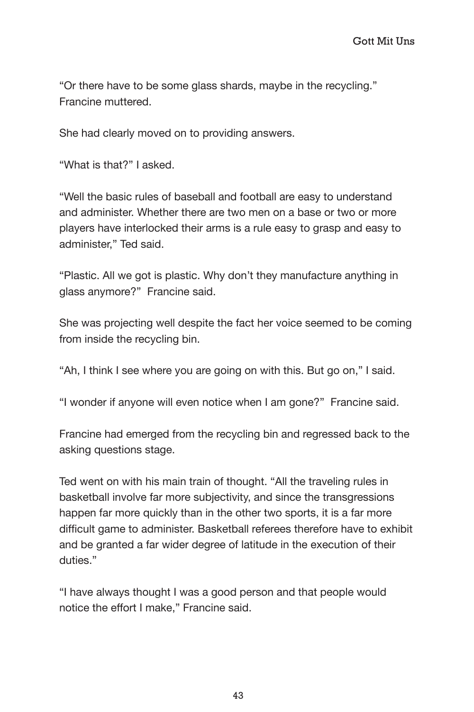"Or there have to be some glass shards, maybe in the recycling." Francine muttered.

She had clearly moved on to providing answers.

"What is that?" I asked.

"Well the basic rules of baseball and football are easy to understand and administer. Whether there are two men on a base or two or more players have interlocked their arms is a rule easy to grasp and easy to administer," Ted said.

"Plastic. All we got is plastic. Why don't they manufacture anything in glass anymore?" Francine said.

She was projecting well despite the fact her voice seemed to be coming from inside the recycling bin.

"Ah, I think I see where you are going on with this. But go on," I said.

"I wonder if anyone will even notice when I am gone?" Francine said.

Francine had emerged from the recycling bin and regressed back to the asking questions stage.

Ted went on with his main train of thought. "All the traveling rules in basketball involve far more subjectivity, and since the transgressions happen far more quickly than in the other two sports, it is a far more difficult game to administer. Basketball referees therefore have to exhibit and be granted a far wider degree of latitude in the execution of their duties."

"I have always thought I was a good person and that people would notice the effort I make," Francine said.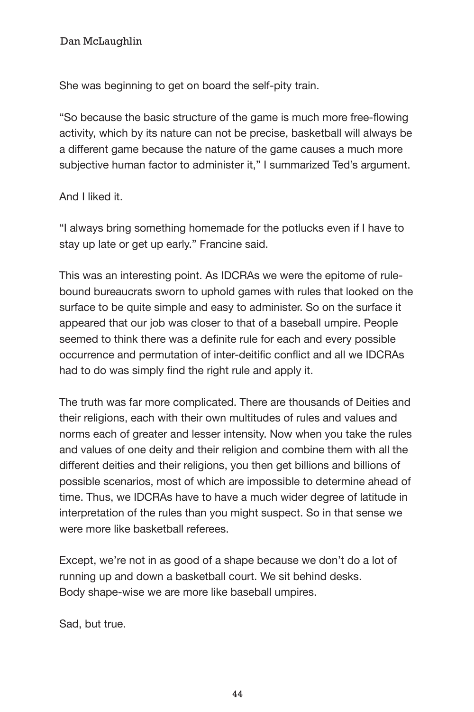Dan McLaughlin Gott Mit Unstand Mit Unstand Mit Unstand Mit Unstand Mit Unstand Mit Unstand Mit Unstand Mit Un

She was beginning to get on board the self-pity train.

"So because the basic structure of the game is much more free-flowing activity, which by its nature can not be precise, basketball will always be a different game because the nature of the game causes a much more subjective human factor to administer it," I summarized Ted's argument.

## And I liked it.

"I always bring something homemade for the potlucks even if I have to stay up late or get up early." Francine said.

This was an interesting point. As IDCRAs we were the epitome of rulebound bureaucrats sworn to uphold games with rules that looked on the surface to be quite simple and easy to administer. So on the surface it appeared that our job was closer to that of a baseball umpire. People seemed to think there was a definite rule for each and every possible occurrence and permutation of inter-deitific conflict and all we IDCRAs had to do was simply find the right rule and apply it.

The truth was far more complicated. There are thousands of Deities and their religions, each with their own multitudes of rules and values and norms each of greater and lesser intensity. Now when you take the rules and values of one deity and their religion and combine them with all the different deities and their religions, you then get billions and billions of possible scenarios, most of which are impossible to determine ahead of time. Thus, we IDCRAs have to have a much wider degree of latitude in interpretation of the rules than you might suspect. So in that sense we were more like basketball referees

Except, we're not in as good of a shape because we don't do a lot of running up and down a basketball court. We sit behind desks. Body shape-wise we are more like baseball umpires.

Sad, but true.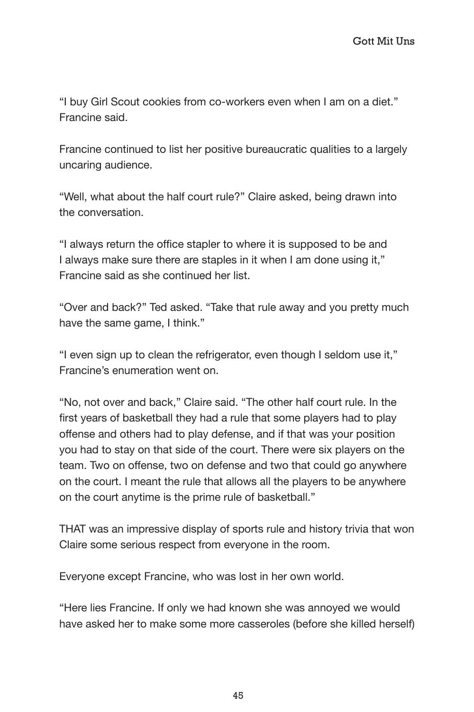"I buy Girl Scout cookies from co-workers even when I am on a diet." Francine said.

Francine continued to list her positive bureaucratic qualities to a largely uncaring audience.

"Well, what about the half court rule?" Claire asked, being drawn into the conversation.

"I always return the office stapler to where it is supposed to be and I always make sure there are staples in it when I am done using it," Francine said as she continued her list.

"Over and back?" Ted asked. "Take that rule away and you pretty much have the same game, I think."

"I even sign up to clean the refrigerator, even though I seldom use it," Francine's enumeration went on.

"No, not over and back," Claire said. "The other half court rule. In the first years of basketball they had a rule that some players had to play offense and others had to play defense, and if that was your position you had to stay on that side of the court. There were six players on the team. Two on offense, two on defense and two that could go anywhere on the court. I meant the rule that allows all the players to be anywhere on the court anytime is the prime rule of basketball."

THAT was an impressive display of sports rule and history trivia that won Claire some serious respect from everyone in the room.

Everyone except Francine, who was lost in her own world.

"Here lies Francine. If only we had known she was annoyed we would have asked her to make some more casseroles (before she killed herself)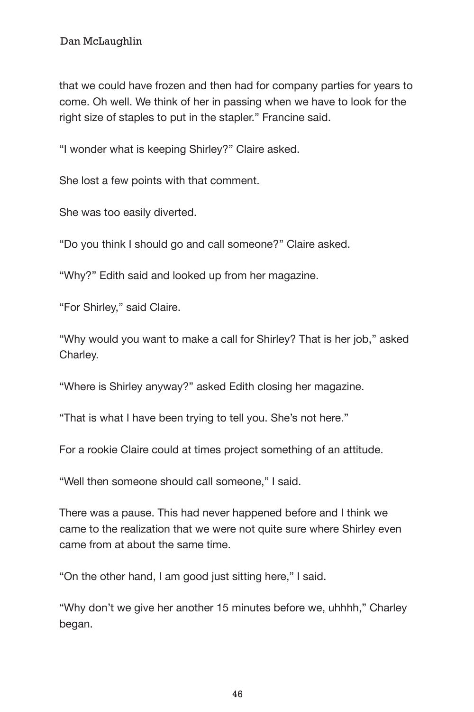that we could have frozen and then had for company parties for years to come. Oh well. We think of her in passing when we have to look for the right size of staples to put in the stapler." Francine said.

"I wonder what is keeping Shirley?" Claire asked.

She lost a few points with that comment.

She was too easily diverted.

"Do you think I should go and call someone?" Claire asked.

"Why?" Edith said and looked up from her magazine.

"For Shirley," said Claire.

"Why would you want to make a call for Shirley? That is her job," asked Charley.

"Where is Shirley anyway?" asked Edith closing her magazine.

"That is what I have been trying to tell you. She's not here."

For a rookie Claire could at times project something of an attitude.

"Well then someone should call someone," I said.

There was a pause. This had never happened before and I think we came to the realization that we were not quite sure where Shirley even came from at about the same time.

"On the other hand, I am good just sitting here," I said.

"Why don't we give her another 15 minutes before we, uhhhh," Charley began.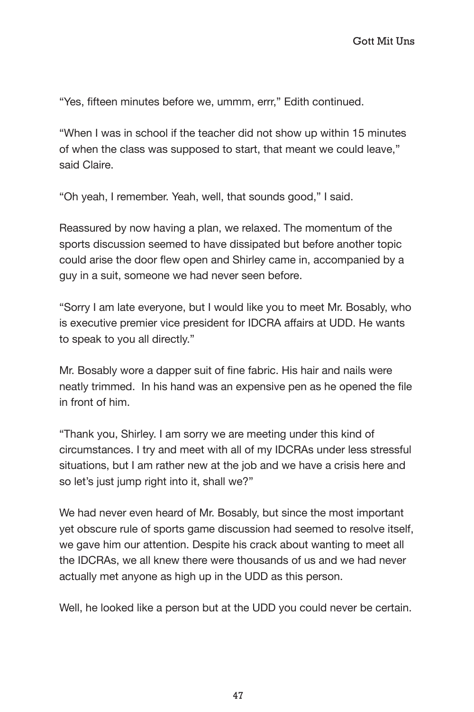"Yes, fifteen minutes before we, ummm, errr," Edith continued.

"When I was in school if the teacher did not show up within 15 minutes of when the class was supposed to start, that meant we could leave," said Claire.

"Oh yeah, I remember. Yeah, well, that sounds good," I said.

Reassured by now having a plan, we relaxed. The momentum of the sports discussion seemed to have dissipated but before another topic could arise the door flew open and Shirley came in, accompanied by a guy in a suit, someone we had never seen before.

"Sorry I am late everyone, but I would like you to meet Mr. Bosably, who is executive premier vice president for IDCRA affairs at UDD. He wants to speak to you all directly."

Mr. Bosably wore a dapper suit of fine fabric. His hair and nails were neatly trimmed. In his hand was an expensive pen as he opened the file in front of him.

"Thank you, Shirley. I am sorry we are meeting under this kind of circumstances. I try and meet with all of my IDCRAs under less stressful situations, but I am rather new at the job and we have a crisis here and so let's just jump right into it, shall we?"

We had never even heard of Mr. Bosably, but since the most important yet obscure rule of sports game discussion had seemed to resolve itself, we gave him our attention. Despite his crack about wanting to meet all the IDCRAs, we all knew there were thousands of us and we had never actually met anyone as high up in the UDD as this person.

Well, he looked like a person but at the UDD you could never be certain.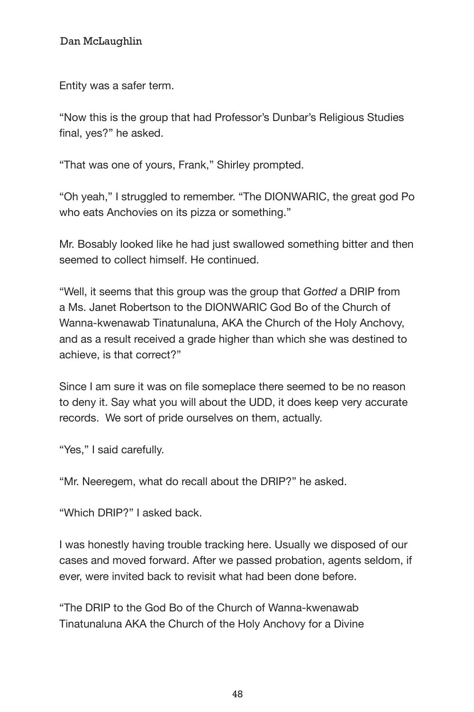Entity was a safer term.

"Now this is the group that had Professor's Dunbar's Religious Studies final, yes?" he asked.

"That was one of yours, Frank," Shirley prompted.

"Oh yeah," I struggled to remember. "The DIONWARIC, the great god Po who eats Anchovies on its pizza or something."

Mr. Bosably looked like he had just swallowed something bitter and then seemed to collect himself. He continued.

"Well, it seems that this group was the group that *Gotted* a DRIP from a Ms. Janet Robertson to the DIONWARIC God Bo of the Church of Wanna-kwenawab Tinatunaluna, AKA the Church of the Holy Anchovy, and as a result received a grade higher than which she was destined to achieve, is that correct?"

Since I am sure it was on file someplace there seemed to be no reason to deny it. Say what you will about the UDD, it does keep very accurate records. We sort of pride ourselves on them, actually.

"Yes," I said carefully.

"Mr. Neeregem, what do recall about the DRIP?" he asked.

"Which DRIP?" I asked back.

I was honestly having trouble tracking here. Usually we disposed of our cases and moved forward. After we passed probation, agents seldom, if ever, were invited back to revisit what had been done before.

"The DRIP to the God Bo of the Church of Wanna-kwenawab Tinatunaluna AKA the Church of the Holy Anchovy for a Divine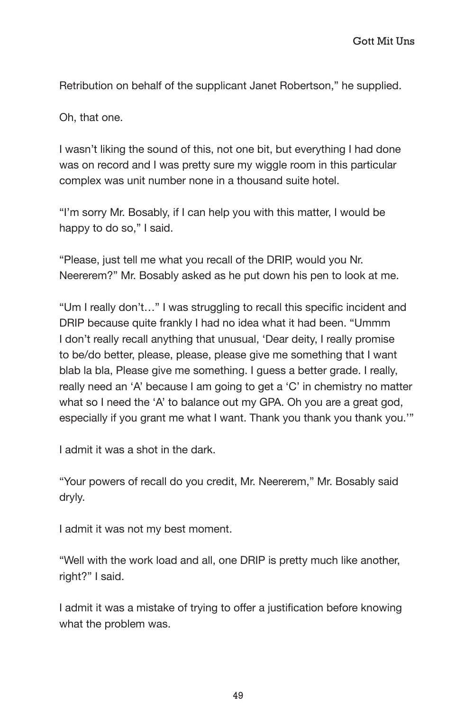dan McLaughlin Gott Mit Unstand Gott Mit Unst

Retribution on behalf of the supplicant Janet Robertson," he supplied.

Oh, that one.

I wasn't liking the sound of this, not one bit, but everything I had done was on record and I was pretty sure my wiggle room in this particular complex was unit number none in a thousand suite hotel.

"I'm sorry Mr. Bosably, if I can help you with this matter, I would be happy to do so," I said.

"Please, just tell me what you recall of the DRIP, would you Nr. Neererem?" Mr. Bosably asked as he put down his pen to look at me.

"Um I really don't…" I was struggling to recall this specific incident and DRIP because quite frankly I had no idea what it had been. "Ummm I don't really recall anything that unusual, 'Dear deity, I really promise to be/do better, please, please, please give me something that I want blab la bla, Please give me something. I guess a better grade. I really, really need an 'A' because I am going to get a 'C' in chemistry no matter what so I need the 'A' to balance out my GPA. Oh you are a great god, especially if you grant me what I want. Thank you thank you thank you.'"

I admit it was a shot in the dark.

"Your powers of recall do you credit, Mr. Neererem," Mr. Bosably said dryly.

I admit it was not my best moment.

"Well with the work load and all, one DRIP is pretty much like another, right?" I said.

I admit it was a mistake of trying to offer a justification before knowing what the problem was.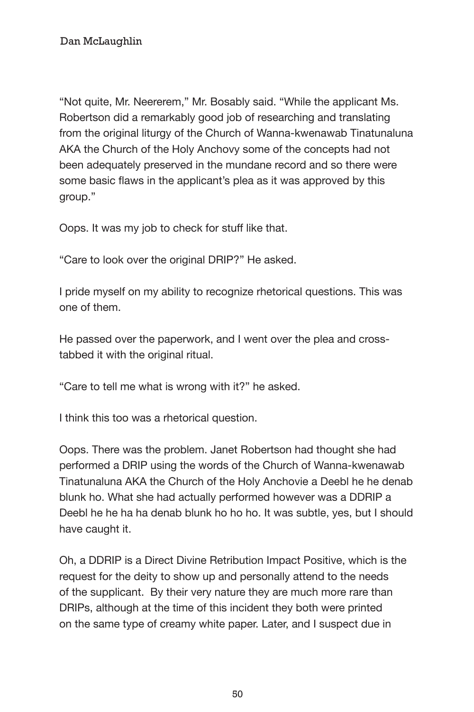"Not quite, Mr. Neererem," Mr. Bosably said. "While the applicant Ms. Robertson did a remarkably good job of researching and translating from the original liturgy of the Church of Wanna-kwenawab Tinatunaluna AKA the Church of the Holy Anchovy some of the concepts had not been adequately preserved in the mundane record and so there were some basic flaws in the applicant's plea as it was approved by this group."

Oops. It was my job to check for stuff like that.

"Care to look over the original DRIP?" He asked.

I pride myself on my ability to recognize rhetorical questions. This was one of them.

He passed over the paperwork, and I went over the plea and crosstabbed it with the original ritual.

"Care to tell me what is wrong with it?" he asked.

I think this too was a rhetorical question.

Oops. There was the problem. Janet Robertson had thought she had performed a DRIP using the words of the Church of Wanna-kwenawab Tinatunaluna AKA the Church of the Holy Anchovie a Deebl he he denab blunk ho. What she had actually performed however was a DDRIP a Deebl he he ha ha denab blunk ho ho ho. It was subtle, yes, but I should have caught it.

Oh, a DDRIP is a Direct Divine Retribution Impact Positive, which is the request for the deity to show up and personally attend to the needs of the supplicant. By their very nature they are much more rare than DRIPs, although at the time of this incident they both were printed on the same type of creamy white paper. Later, and I suspect due in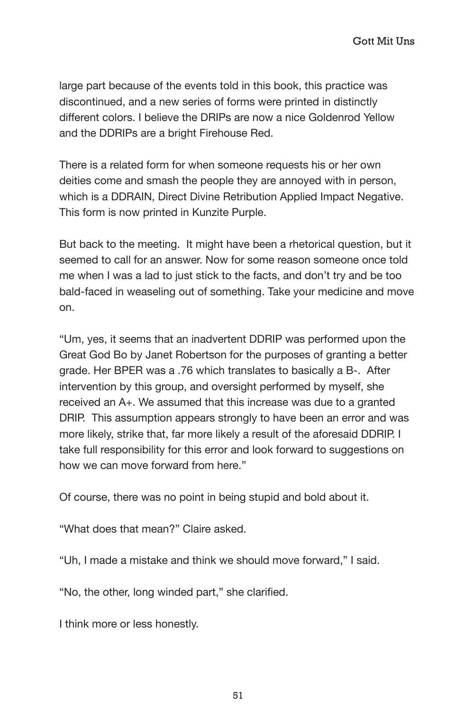large part because of the events told in this book, this practice was discontinued, and a new series of forms were printed in distinctly different colors. I believe the DRIPs are now a nice Goldenrod Yellow and the DDRIPs are a bright Firehouse Red.

There is a related form for when someone requests his or her own deities come and smash the people they are annoyed with in person, which is a DDRAIN, Direct Divine Retribution Applied Impact Negative. This form is now printed in Kunzite Purple.

But back to the meeting. It might have been a rhetorical question, but it seemed to call for an answer. Now for some reason someone once told me when I was a lad to just stick to the facts, and don't try and be too bald-faced in weaseling out of something. Take your medicine and move on.

"Um, yes, it seems that an inadvertent DDRIP was performed upon the Great God Bo by Janet Robertson for the purposes of granting a better grade. Her BPER was a .76 which translates to basically a B-. After intervention by this group, and oversight performed by myself, she received an A+. We assumed that this increase was due to a granted DRIP. This assumption appears strongly to have been an error and was more likely, strike that, far more likely a result of the aforesaid DDRIP. I take full responsibility for this error and look forward to suggestions on how we can move forward from here."

Of course, there was no point in being stupid and bold about it.

"What does that mean?" Claire asked.

"Uh, I made a mistake and think we should move forward," I said.

"No, the other, long winded part," she clarified.

I think more or less honestly.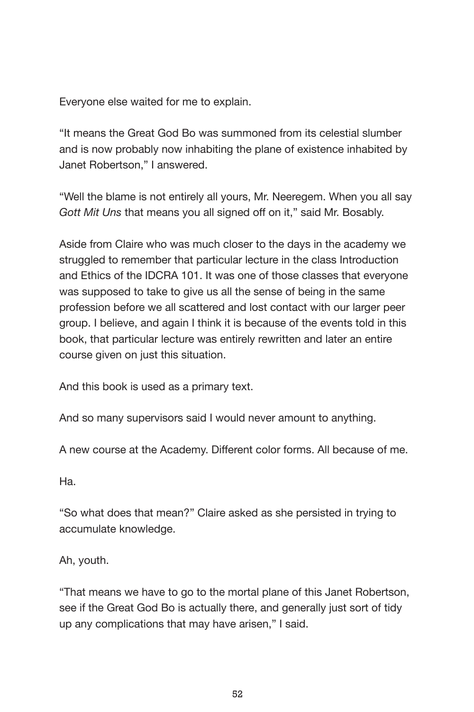Everyone else waited for me to explain.

"It means the Great God Bo was summoned from its celestial slumber and is now probably now inhabiting the plane of existence inhabited by Janet Robertson," I answered.

"Well the blame is not entirely all yours, Mr. Neeregem. When you all say *Gott Mit Uns* that means you all signed off on it," said Mr. Bosably.

Aside from Claire who was much closer to the days in the academy we struggled to remember that particular lecture in the class Introduction and Ethics of the IDCRA 101. It was one of those classes that everyone was supposed to take to give us all the sense of being in the same profession before we all scattered and lost contact with our larger peer group. I believe, and again I think it is because of the events told in this book, that particular lecture was entirely rewritten and later an entire course given on just this situation.

And this book is used as a primary text.

And so many supervisors said I would never amount to anything.

A new course at the Academy. Different color forms. All because of me.

Ha.

"So what does that mean?" Claire asked as she persisted in trying to accumulate knowledge.

Ah, youth.

"That means we have to go to the mortal plane of this Janet Robertson, see if the Great God Bo is actually there, and generally just sort of tidy up any complications that may have arisen," I said.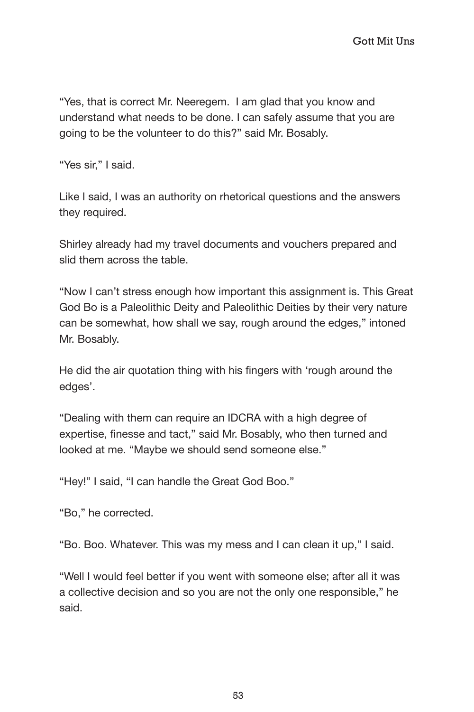"Yes, that is correct Mr. Neeregem. I am glad that you know and understand what needs to be done. I can safely assume that you are going to be the volunteer to do this?" said Mr. Bosably.

"Yes sir," I said.

Like I said, I was an authority on rhetorical questions and the answers they required.

Shirley already had my travel documents and vouchers prepared and slid them across the table.

"Now I can't stress enough how important this assignment is. This Great God Bo is a Paleolithic Deity and Paleolithic Deities by their very nature can be somewhat, how shall we say, rough around the edges," intoned Mr. Bosably.

He did the air quotation thing with his fingers with 'rough around the edges'.

"Dealing with them can require an IDCRA with a high degree of expertise, finesse and tact," said Mr. Bosably, who then turned and looked at me. "Maybe we should send someone else."

"Hey!" I said, "I can handle the Great God Boo."

"Bo," he corrected.

"Bo. Boo. Whatever. This was my mess and I can clean it up," I said.

"Well I would feel better if you went with someone else; after all it was a collective decision and so you are not the only one responsible," he said.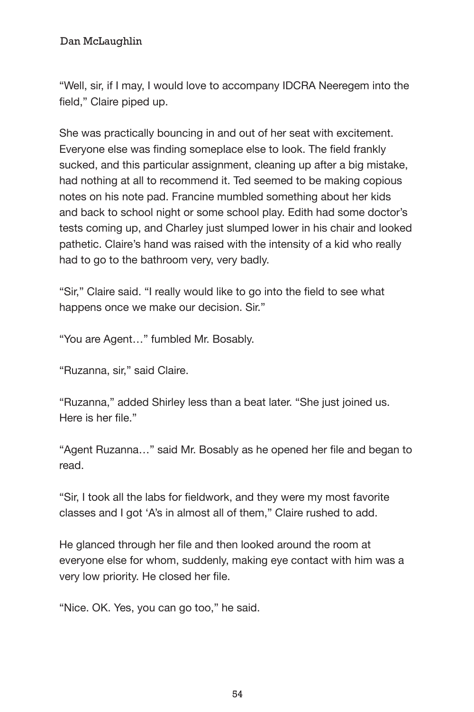"Well, sir, if I may, I would love to accompany IDCRA Neeregem into the field," Claire piped up.

She was practically bouncing in and out of her seat with excitement. Everyone else was finding someplace else to look. The field frankly sucked, and this particular assignment, cleaning up after a big mistake, had nothing at all to recommend it. Ted seemed to be making copious notes on his note pad. Francine mumbled something about her kids and back to school night or some school play. Edith had some doctor's tests coming up, and Charley just slumped lower in his chair and looked pathetic. Claire's hand was raised with the intensity of a kid who really had to go to the bathroom very, very badly.

"Sir," Claire said. "I really would like to go into the field to see what happens once we make our decision. Sir."

"You are Agent…" fumbled Mr. Bosably.

"Ruzanna, sir," said Claire.

"Ruzanna," added Shirley less than a beat later. "She just joined us. Here is her file."

"Agent Ruzanna…" said Mr. Bosably as he opened her file and began to read.

"Sir, I took all the labs for fieldwork, and they were my most favorite classes and I got 'A's in almost all of them," Claire rushed to add.

He glanced through her file and then looked around the room at everyone else for whom, suddenly, making eye contact with him was a very low priority. He closed her file.

"Nice. OK. Yes, you can go too," he said.